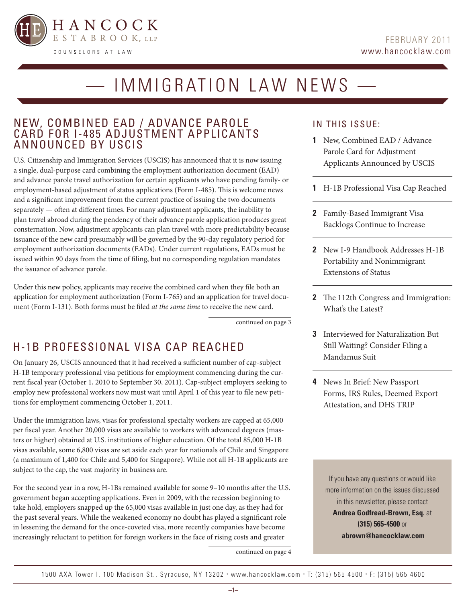

# — IMMIGRATION LAW NEWS —

### NEW, COMBINED EAD / ADVANCE PAROLE CARD FOR I-485 ADJUSTMENT APPLICANTS ANNOUNCED BY USCIS

U.S. Citizenship and Immigration Services (USCIS) has announced that it is now issuing a single, dual-purpose card combining the employment authorization document (EAD) and advance parole travel authorization for certain applicants who have pending family- or employment-based adjustment of status applications (Form I-485). This is welcome news and a significant improvement from the current practice of issuing the two documents separately — often at different times. For many adjustment applicants, the inability to plan travel abroad during the pendency of their advance parole application produces great consternation. Now, adjustment applicants can plan travel with more predictability because issuance of the new card presumably will be governed by the 90-day regulatory period for employment authorization documents (EADs). Under current regulations, EADs must be issued within 90 days from the time of filing, but no corresponding regulation mandates the issuance of advance parole.

Under this new policy, applicants may receive the combined card when they file both an application for employment authorization (Form I-765) and an application for travel document (Form I-131). Both forms must be filed *at the same time* to receive the new card.

continued on page 3

# H-1B PROFESSIONAL VISA CAP REACHED

On January 26, USCIS announced that it had received a sufficient number of cap-subject H-1B temporary professional visa petitions for employment commencing during the current fiscal year (October 1, 2010 to September 30, 2011). Cap-subject employers seeking to employ new professional workers now must wait until April 1 of this year to file new petitions for employment commencing October 1, 2011.

Under the immigration laws, visas for professional specialty workers are capped at 65,000 per fiscal year. Another 20,000 visas are available to workers with advanced degrees (masters or higher) obtained at U.S. institutions of higher education. Of the total 85,000 H-1B visas available, some 6,800 visas are set aside each year for nationals of Chile and Singapore (a maximum of 1,400 for Chile and 5,400 for Singapore). While not all H-1B applicants are subject to the cap, the vast majority in business are.

For the second year in a row, H-1Bs remained available for some 9–10 months after the U.S. government began accepting applications. Even in 2009, with the recession beginning to take hold, employers snapped up the 65,000 visas available in just one day, as they had for the past several years. While the weakened economy no doubt has played a significant role in lessening the demand for the once-coveted visa, more recently companies have become increasingly reluctant to petition for foreign workers in the face of rising costs and greater

continued on page 4

### IN THIS ISSUE:

- **1** New, Combined EAD / Advance Parole Card for Adjustment Applicants Announced by USCIS
- **1** H-1B Professional Visa Cap Reached
- **2** Family-Based Immigrant Visa Backlogs Continue to Increase
- **2** New I-9 Handbook Addresses H-1B Portability and Nonimmigrant Extensions of Status
- **2** The 112th Congress and Immigration: What's the Latest?
- **3** Interviewed for Naturalization But Still Waiting? Consider Filing a Mandamus Suit
- **4** News In Brief: New Passport Forms, IRS Rules, Deemed Export Attestation, and DHS TRIP

If you have any questions or would like more information on the issues discussed in this newsletter, please contact **Andrea Godfread-Brown, Esq.** at **(315) 565-4500** or  **abrown@hancocklaw.com**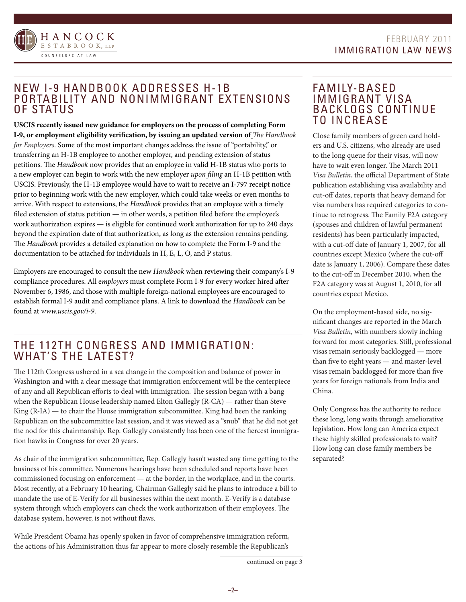



# NEW I-9 HANDBOOK ADDRESSES H-1B PORTABILITY AND NONIMMIGRANT EXTENSIONS OF STATUS

**USCIS recently issued new guidance for employers on the process of completing Form I-9, or employment eligibility verification, by issuing an updated version of** *The Handbook for Employers.* Some of the most important changes address the issue of "portability," or transferring an H-1B employee to another employer, and pending extension of status petitions. The *Handbook* now provides that an employee in valid H-1B status who ports to a new employer can begin to work with the new employer *upon filing* an H-1B petition with USCIS. Previously, the H-1B employee would have to wait to receive an I-797 receipt notice prior to beginning work with the new employer, which could take weeks or even months to arrive. With respect to extensions, the *Handbook* provides that an employee with a timely filed extension of status petition — in other words, a petition filed before the employee's work authorization expires — is eligible for continued work authorization for up to 240 days beyond the expiration date of that authorization, as long as the extension remains pending. The *Handbook* provides a detailed explanation on how to complete the Form I-9 and the documentation to be attached for individuals in H, E, L, O, and P status.

Employers are encouraged to consult the new *Handbook* when reviewing their company's I-9 compliance procedures. All e*mployers* must complete Form I-9 for every worker hired after November 6, 1986, and those with multiple foreign-national employees are encouraged to establish formal I-9 audit and compliance plans. A link to download the *Handbook* can be found at *www.uscis.gov/i-9*.

# THE 112TH CONGRESS AND IMMIGRATION: WHAT'S THE LATEST?

The 112th Congress ushered in a sea change in the composition and balance of power in Washington and with a clear message that immigration enforcement will be the centerpiece of any and all Republican efforts to deal with immigration. The session began with a bang when the Republican House leadership named Elton Gallegly (R-CA) — rather than Steve King  $(R<sub>-</sub>IA)$  — to chair the House immigration subcommittee. King had been the ranking Republican on the subcommittee last session, and it was viewed as a "snub" that he did not get the nod for this chairmanship. Rep. Gallegly consistently has been one of the fiercest immigration hawks in Congress for over 20 years.

As chair of the immigration subcommittee, Rep. Gallegly hasn't wasted any time getting to the business of his committee. Numerous hearings have been scheduled and reports have been commissioned focusing on enforcement — at the border, in the workplace, and in the courts. Most recently, at a February 10 hearing, Chairman Gallegly said he plans to introduce a bill to mandate the use of E-Verify for all businesses within the next month. E-Verify is a database system through which employers can check the work authorization of their employees. The database system, however, is not without flaws.

While President Obama has openly spoken in favor of comprehensive immigration reform, the actions of his Administration thus far appear to more closely resemble the Republican's

### FAMILY-BASED IMMIGRANT VISA BACKLOGS CONTINUE TO INCREASE

Close family members of green card holders and U.S. citizens, who already are used to the long queue for their visas, will now have to wait even longer. The March 2011 *Visa Bulletin*, the official Department of State publication establishing visa availability and cut-off dates, reports that heavy demand for visa numbers has required categories to continue to retrogress. The Family F2A category (spouses and children of lawful permanent residents) has been particularly impacted, with a cut-off date of January 1, 2007, for all countries except Mexico (where the cut-off date is January 1, 2006). Compare these dates to the cut-off in December 2010, when the F2A category was at August 1, 2010, for all countries expect Mexico.

On the employment-based side, no significant changes are reported in the March *Visa Bulletin,* with numbers slowly inching forward for most categories. Still, professional visas remain seriously backlogged — more than five to eight years — and master-level visas remain backlogged for more than five years for foreign nationals from India and China.

Only Congress has the authority to reduce these long, long waits through ameliorative legislation. How long can America expect these highly skilled professionals to wait? How long can close family members be separated?

continued on page 3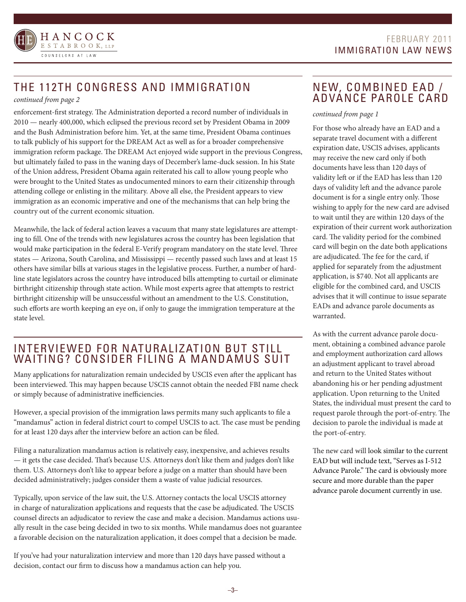

# THE 112TH CONGRESS AND IMMIGRATION

### *continued from page 2*

enforcement-first strategy. The Administration deported a record number of individuals in 2010 — nearly 400,000, which eclipsed the previous record set by President Obama in 2009 and the Bush Administration before him. Yet, at the same time, President Obama continues to talk publicly of his support for the DREAM Act as well as for a broader comprehensive immigration reform package. The DREAM Act enjoyed wide support in the previous Congress, but ultimately failed to pass in the waning days of December's lame-duck session. In his State of the Union address, President Obama again reiterated his call to allow young people who were brought to the United States as undocumented minors to earn their citizenship through attending college or enlisting in the military. Above all else, the President appears to view immigration as an economic imperative and one of the mechanisms that can help bring the country out of the current economic situation.

Meanwhile, the lack of federal action leaves a vacuum that many state legislatures are attempting to fill. One of the trends with new legislatures across the country has been legislation that would make participation in the federal E-Verify program mandatory on the state level. Three states — Arizona, South Carolina, and Mississippi — recently passed such laws and at least 15 others have similar bills at various stages in the legislative process. Further, a number of hardline state legislators across the country have introduced bills attempting to curtail or eliminate birthright citizenship through state action. While most experts agree that attempts to restrict birthright citizenship will be unsuccessful without an amendment to the U.S. Constitution, such efforts are worth keeping an eye on, if only to gauge the immigration temperature at the state level.

# INTERVIEWED FOR NATURALIZATION BUT STILL WAITING? CONSIDER FILING A MANDAMUS SUIT

Many applications for naturalization remain undecided by USCIS even after the applicant has been interviewed. This may happen because USCIS cannot obtain the needed FBI name check or simply because of administrative inefficiencies.

However, a special provision of the immigration laws permits many such applicants to file a "mandamus" action in federal district court to compel USCIS to act. The case must be pending for at least 120 days after the interview before an action can be filed.

Filing a naturalization mandamus action is relatively easy, inexpensive, and achieves results — it gets the case decided. That's because U.S. Attorneys don't like them and judges don't like them. U.S. Attorneys don't like to appear before a judge on a matter than should have been decided administratively; judges consider them a waste of value judicial resources.

Typically, upon service of the law suit, the U.S. Attorney contacts the local USCIS attorney in charge of naturalization applications and requests that the case be adjudicated. The USCIS counsel directs an adjudicator to review the case and make a decision. Mandamus actions usually result in the case being decided in two to six months. While mandamus does not guarantee a favorable decision on the naturalization application, it does compel that a decision be made.

If you've had your naturalization interview and more than 120 days have passed without a decision, contact our firm to discuss how a mandamus action can help you.

# NEW, COMBINED EAD / ADVANCE PAROLE CARD

### *continued from page 1*

For those who already have an EAD and a separate travel document with a different expiration date, USCIS advises, applicants may receive the new card only if both documents have less than 120 days of validity left or if the EAD has less than 120 days of validity left and the advance parole document is for a single entry only. Those wishing to apply for the new card are advised to wait until they are within 120 days of the expiration of their current work authorization card. The validity period for the combined card will begin on the date both applications are adjudicated. The fee for the card, if applied for separately from the adjustment application, is \$740. Not all applicants are eligible for the combined card, and USCIS advises that it will continue to issue separate EADs and advance parole documents as warranted.

As with the current advance parole document, obtaining a combined advance parole and employment authorization card allows an adjustment applicant to travel abroad and return to the United States without abandoning his or her pending adjustment application. Upon returning to the United States, the individual must present the card to request parole through the port-of-entry. The decision to parole the individual is made at the port-of-entry.

The new card will look similar to the current EAD but will include text, "Serves as I-512 Advance Parole." The card is obviously more secure and more durable than the paper advance parole document currently in use.